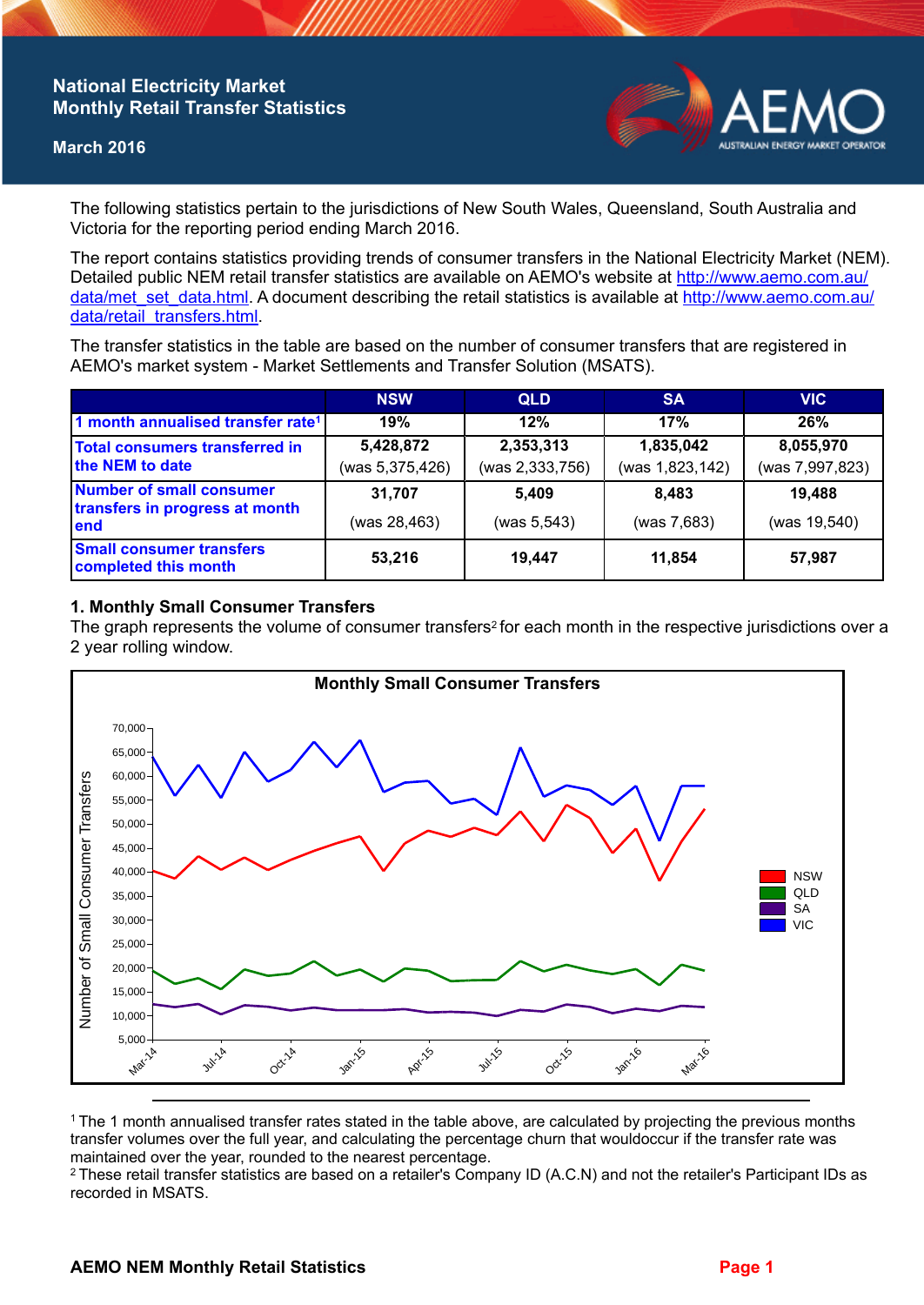## **National Electricity Market Monthly Retail Transfer Statistics**

#### **March 2016**



The following statistics pertain to the jurisdictions of New South Wales, Queensland, South Australia and Victoria for the reporting period ending March 2016.

The report contains statistics providing trends of consumer transfers in the National Electricity Market (NEM). Detailed public NEM retail transfer statistics are available on AEMO's website at [http://www.aemo.com.au/](http://www.aemo.com.au/data/met_set_data.html) [data/met\\_set\\_data.html](http://www.aemo.com.au/data/met_set_data.html). A document describing the retail statistics is available at [http://www.aemo.com.au/](http://www.aemo.com.au/data/retail_transfers.html) [data/retail\\_transfers.html](http://www.aemo.com.au/data/retail_transfers.html).

The transfer statistics in the table are based on the number of consumer transfers that are registered in AEMO's market system - Market Settlements and Transfer Solution (MSATS).

|                                                                    | <b>NSW</b>                   | <b>QLD</b>                   | <b>SA</b>                    | <b>VIC</b>                   |
|--------------------------------------------------------------------|------------------------------|------------------------------|------------------------------|------------------------------|
| 1 month annualised transfer rate <sup>1</sup>                      | 19%                          | 12%                          | 17%                          | 26%                          |
| Total consumers transferred in<br>the NEM to date                  | 5,428,872<br>(was 5,375,426) | 2,353,313<br>(was 2,333,756) | 1,835,042<br>(was 1,823,142) | 8,055,970<br>(was 7,997,823) |
| Number of small consumer<br>transfers in progress at month<br>lend | 31,707<br>(was 28,463)       | 5,409<br>(was 5, 543)        | 8.483<br>(was 7,683)         | 19,488<br>(was 19,540)       |
| <b>Small consumer transfers</b><br>completed this month            | 53,216                       | 19,447                       | 11.854                       | 57,987                       |

### **1. Monthly Small Consumer Transfers**

The graph represents the volume of consumer transfers<sup>2</sup> for each month in the respective jurisdictions over a 2 year rolling window.



<sup>1</sup>The 1 month annualised transfer rates stated in the table above, are calculated by projecting the previous months transfer volumes over the full year, and calculating the percentage churn that wouldoccur if the transfer rate was maintained over the year, rounded to the nearest percentage.

<sup>2</sup> These retail transfer statistics are based on a retailer's Company ID (A.C.N) and not the retailer's Participant IDs as recorded in MSATS.